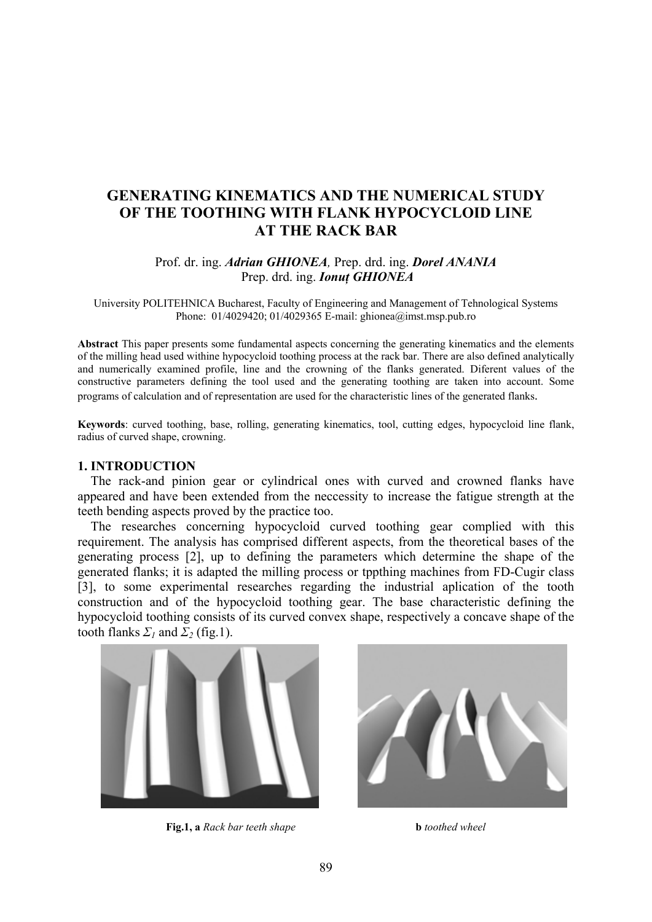# **GENERATING KINEMATICS AND THE NUMERICAL STUDY OF THE TOOTHING WITH FLANK HYPOCYCLOID LINE AT THE RACK BAR**

# Prof. dr. ing. *Adrian GHIONEA,* Prep. drd. ing. *Dorel ANANIA*  Prep. drd. ing. *Ionuţ GHIONEA*

University POLITEHNICA Bucharest, Faculty of Engineering and Management of Tehnological Systems Phone: 01/4029420; 01/4029365 E-mail: ghionea@imst.msp.pub.ro

**Abstract** This paper presents some fundamental aspects concerning the generating kinematics and the elements of the milling head used withine hypocycloid toothing process at the rack bar. There are also defined analytically and numerically examined profile, line and the crowning of the flanks generated. Diferent values of the constructive parameters defining the tool used and the generating toothing are taken into account. Some programs of calculation and of representation are used for the characteristic lines of the generated flanks.

**Keywords**: curved toothing, base, rolling, generating kinematics, tool, cutting edges, hypocycloid line flank, radius of curved shape, crowning.

### **1. INTRODUCTION**

 The rack-and pinion gear or cylindrical ones with curved and crowned flanks have appeared and have been extended from the neccessity to increase the fatigue strength at the teeth bending aspects proved by the practice too.

 The researches concerning hypocycloid curved toothing gear complied with this requirement. The analysis has comprised different aspects, from the theoretical bases of the generating process [2], up to defining the parameters which determine the shape of the generated flanks; it is adapted the milling process or tppthing machines from FD-Cugir class [3], to some experimental researches regarding the industrial aplication of the tooth construction and of the hypocycloid toothing gear. The base characteristic defining the hypocycloid toothing consists of its curved convex shape, respectively a concave shape of the tooth flanks  $\Sigma_1$  and  $\Sigma_2$  (fig.1).



**Fig.1, a** *Rack bar teeth shape* **b** *toothed wheel* 

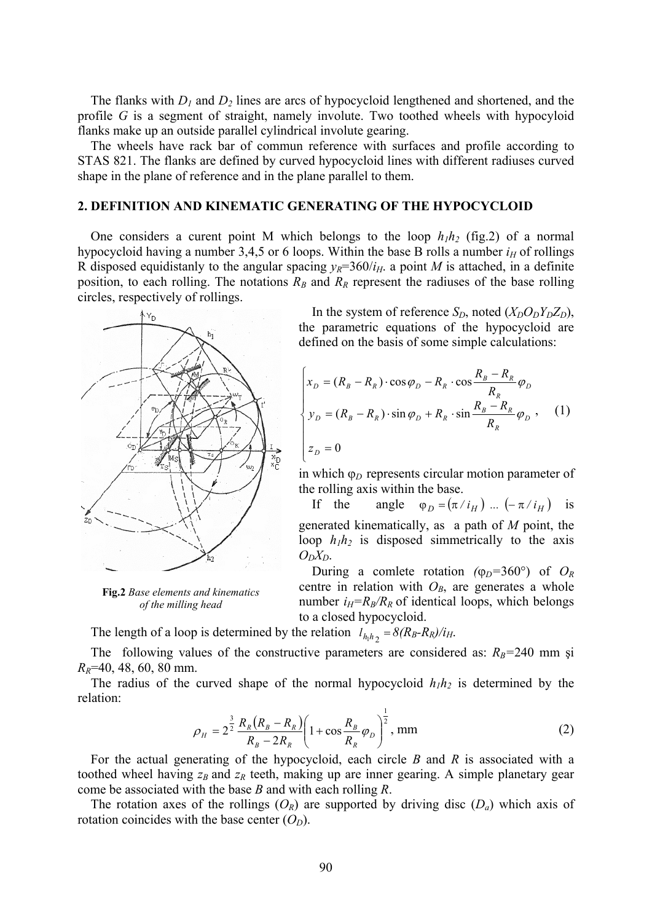The flanks with *D1* and *D2* lines are arcs of hypocycloid lengthened and shortened, and the profile *G* is a segment of straight, namely involute. Two toothed wheels with hypocyloid flanks make up an outside parallel cylindrical involute gearing.

 The wheels have rack bar of commun reference with surfaces and profile according to STAS 821. The flanks are defined by curved hypocycloid lines with different radiuses curved shape in the plane of reference and in the plane parallel to them.

#### **2. DEFINITION AND KINEMATIC GENERATING OF THE HYPOCYCLOID**

One considers a curent point M which belongs to the loop  $h_1h_2$  (fig.2) of a normal hypocycloid having a number 3,4,5 or 6 loops. Within the base B rolls a number  $i_H$  of rollings R disposed equidistanly to the angular spacing  $y_R=360/i_H$ . a point *M* is attached, in a definite position, to each rolling. The notations  $R_B$  and  $R_R$  represent the radiuses of the base rolling circles, respectively of rollings.



**Fig.2** Base elements and kinematics *of the milling head*

In the system of reference  $S_D$ , noted  $(X_D O_D Y_D Z_D)$ , the parametric equations of the hypocycloid are defined on the basis of some simple calculations:

$$
\begin{cases}\nx_D = (R_B - R_R) \cdot \cos \varphi_D - R_R \cdot \cos \frac{R_B - R_R}{R_R} \varphi_D \\
y_D = (R_B - R_R) \cdot \sin \varphi_D + R_R \cdot \sin \frac{R_B - R_R}{R_R} \varphi_D,\n\end{cases}
$$
\n(1)\n
$$
z_D = 0
$$

in which ϕ*D* represents circular motion parameter of the rolling axis within the base.

If the angle  $\varphi_D = (\pi / i_H)$  ...  $(-\pi / i_H)$  is generated kinematically, as a path of *M* point, the loop  $h_1h_2$  is disposed simmetrically to the axis  $O_D X_D$ .

During a comlete rotation  $(\varphi_D=360^\circ)$  of  $O_R$ centre in relation with  $O_B$ , are generates a whole number  $i_H=R_B/R_R$  of identical loops, which belongs to a closed hypocycloid.

The length of a loop is determined by the relation  $l_{h_1 h_2} = 8(R_B-R_R)/i_H$ .

The following values of the constructive parameters are considered as:  $R_B$ =240 mm și *R <sup>R</sup>*=40, 48, 60, 80 mm.

The radius of the curved shape of the normal hypocycloid  $h_1h_2$  is determined by the relation:

$$
\rho_H = 2^{\frac{3}{2}} \frac{R_R (R_B - R_R)}{R_B - 2R_R} \left( 1 + \cos \frac{R_B}{R_R} \varphi_D \right)^{\frac{1}{2}}, \text{ mm}
$$
\n(2)

 For the actual generating of the hypocycloid, each circle *B* and *R* is associated with a toothed wheel having  $z_B$  and  $z_R$  teeth, making up are inner gearing. A simple planetary gear come be associated with the base *B* and with each rolling *R*.

The rotation axes of the rollings  $(O_R)$  are supported by driving disc  $(D_a)$  which axis of rotation coincides with the base center  $(O_D)$ .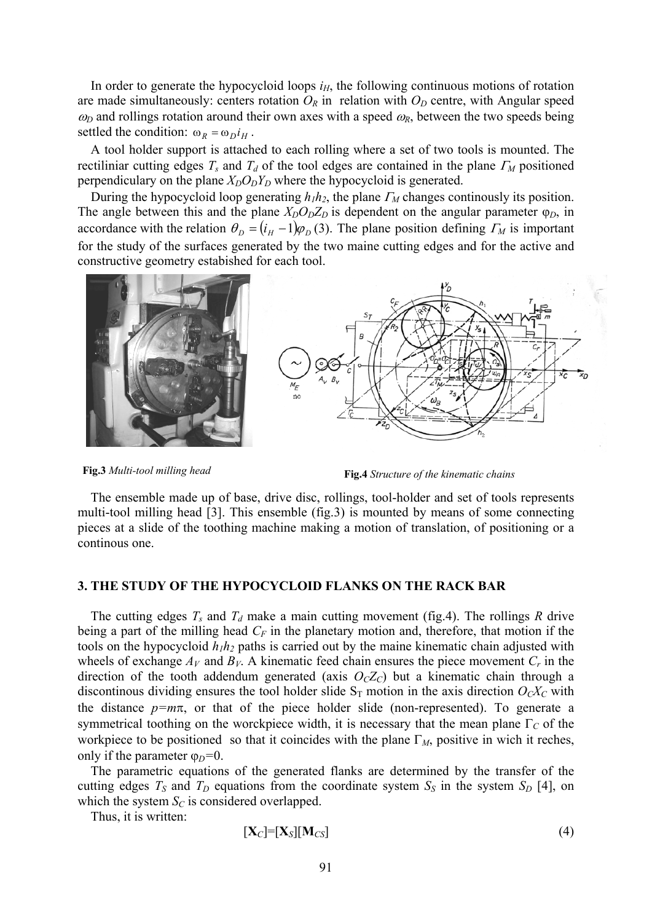In order to generate the hypocycloid loops  $i<sub>H</sub>$ , the following continuous motions of rotation are made simultaneously: centers rotation  $O_R$  in relation with  $O_D$  centre, with Angular speed  $\omega_D$  and rollings rotation around their own axes with a speed  $\omega_R$ , between the two speeds being settled the condition:  $\omega_R = \omega_D i_H$ .

 A tool holder support is attached to each rolling where a set of two tools is mounted. The rectiliniar cutting edges  $T_s$  and  $T_d$  of the tool edges are contained in the plane  $\Gamma_M$  positioned perpendiculary on the plane  $X_D O_D Y_D$  where the hypocycloid is generated.

 During the hypocycloid loop generating *h1h2*, the plane <sup>Γ</sup>*M* changes continously its position. The angle between this and the plane  $X_D O_D Z_D$  is dependent on the angular parameter  $\varphi_D$ , in accordance with the relation  $\theta_D = (i_H - 1)\varphi_D(3)$ . The plane position defining  $\Gamma_M$  is important for the study of the surfaces generated by the two maine cutting edges and for the active and constructive geometry estabished for each tool.





 The ensemble made up of base, drive disc, rollings, tool-holder and set of tools represents multi-tool milling head [3]. This ensemble (fig.3) is mounted by means of some connecting pieces at a slide of the toothing machine making a motion of translation, of positioning or a continous one.

#### **3. THE STUDY OF THE HYPOCYCLOID FLANKS ON THE RACK BAR**

The cutting edges  $T_s$  and  $T_d$  make a main cutting movement (fig.4). The rollings R drive being a part of the milling head  $C_F$  in the planetary motion and, therefore, that motion if the tools on the hypocycloid  $h_1h_2$  paths is carried out by the maine kinematic chain adjusted with wheels of exchange  $A_V$  and  $B_V$ . A kinematic feed chain ensures the piece movement  $C_r$  in the direction of the tooth addendum generated (axis  $O<sub>C</sub>Z<sub>C</sub>$ ) but a kinematic chain through a discontinous dividing ensures the tool holder slide  $S_T$  motion in the axis direction  $O_C X_C$  with the distance  $p=m\pi$ , or that of the piece holder slide (non-represented). To generate a symmetrical toothing on the worckpiece width, it is necessary that the mean plane Γ*C* of the workpiece to be positioned so that it coincides with the plane  $\Gamma_M$ , positive in wich it reches, only if the parameter  $φ<sub>D</sub>=0$ .

 The parametric equations of the generated flanks are determined by the transfer of the cutting edges  $T_S$  and  $T_D$  equations from the coordinate system  $S_S$  in the system  $S_D$  [4], on which the system  $S_C$  is considered overlapped.

Thus, it is written:

$$
[\mathbf{X}_C] = [\mathbf{X}_S][\mathbf{M}_{CS}] \tag{4}
$$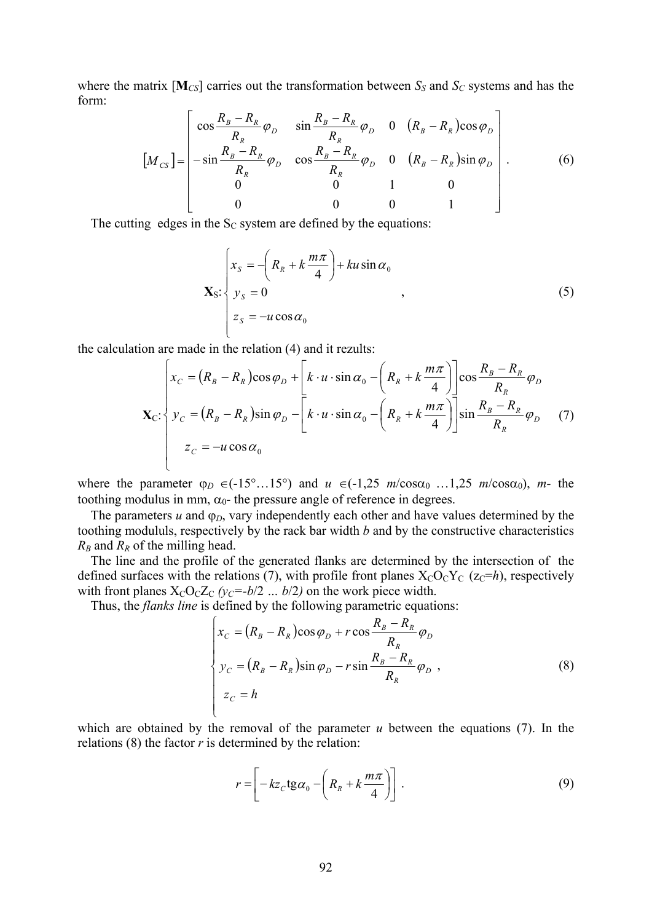where the matrix  $[M<sub>CS</sub>]$  carries out the transformation between  $S<sub>S</sub>$  and  $S<sub>C</sub>$  systems and has the form:

$$
\left[M_{cs}\right] = \begin{bmatrix} \cos\frac{R_B - R_R}{R_R} \varphi_D & \sin\frac{R_B - R_R}{R_R} \varphi_D & 0 & (R_B - R_R)\cos\varphi_D\\ -\sin\frac{R_B - R_R}{R_R} \varphi_D & \cos\frac{R_B - R_R}{R_R} \varphi_D & 0 & (R_B - R_R)\sin\varphi_D\\ 0 & 0 & 1 & 0\\ 0 & 0 & 0 & 1 \end{bmatrix} \right].
$$
 (6)

The cutting edges in the  $S<sub>C</sub>$  system are defined by the equations:

$$
\mathbf{X}_{S} \cdot \begin{cases} x_{S} = -\left(R_{R} + k \frac{m\pi}{4}\right) + ku \sin \alpha_{0} \\ y_{S} = 0 \\ z_{S} = -u \cos \alpha_{0} \end{cases}
$$
 (5)

the calculation are made in the relation (4) and it rezults:

$$
\mathbf{X}_{C}: \begin{cases} x_{C} = (R_{B} - R_{R})\cos\varphi_{D} + \left[k \cdot u \cdot \sin\alpha_{0} - \left(R_{R} + k\frac{m\pi}{4}\right)\right]\cos\frac{R_{B} - R_{R}}{R_{R}}\varphi_{D} \\ y_{C} = (R_{B} - R_{R})\sin\varphi_{D} - \left[k \cdot u \cdot \sin\alpha_{0} - \left(R_{R} + k\frac{m\pi}{4}\right)\right]\sin\frac{R_{B} - R_{R}}{R_{R}}\varphi_{D} \end{cases}
$$
(7)  

$$
z_{C} = -u\cos\alpha_{0}
$$

where the parameter  $\varphi_D \in (-15^\circ...15^\circ)$  and  $u \in (-1,25 \text{ m/cosa}_0...1,25 \text{ m/cosa}_0)$ , *m*- the toothing modulus in mm,  $\alpha_0$ - the pressure angle of reference in degrees.

The parameters  $u$  and  $\varphi_D$ , vary independently each other and have values determined by the toothing modululs, respectively by the rack bar width *b* and by the constructive characteristics  $R_B$  and  $R_B$  of the milling head.

 The line and the profile of the generated flanks are determined by the intersection of the defined surfaces with the relations (7), with profile front planes  $X_CO_CY_C$  ( $z_C=h$ ), respectively with front planes  $X_CO_CZ_C(y_C=-b/2 \dots b/2)$  on the work piece width.

Thus, the *flanks line* is defined by the following parametric equations:

$$
\begin{cases}\n x_C = (R_B - R_R)\cos\varphi_D + r\cos\frac{R_B - R_R}{R_R}\varphi_D \\
 y_C = (R_B - R_R)\sin\varphi_D - r\sin\frac{R_B - R_R}{R_R}\varphi_D, \\
 z_C = h\n\end{cases}
$$
\n(8)

which are obtained by the removal of the parameter *u* between the equations (7). In the relations  $(8)$  the factor  $r$  is determined by the relation:

$$
r = \left[ -kz_c \text{tg}\alpha_0 - \left( R_R + k \frac{m\pi}{4} \right) \right].
$$
 (9)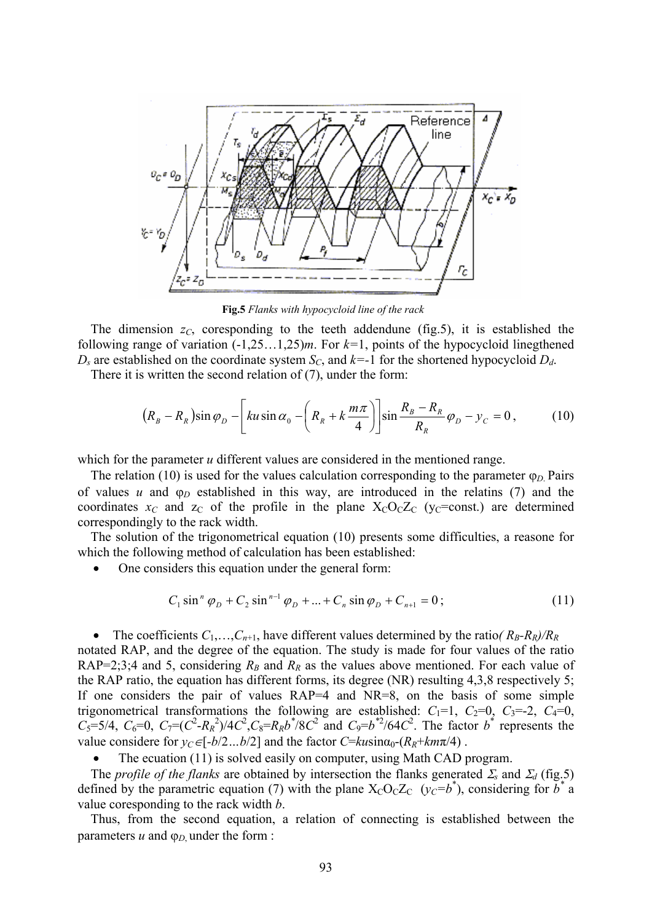

**Fig.5** *Flanks with hypocycloid line of the rack*

The dimension  $z_c$ , coresponding to the teeth addendune (fig.5), it is established the following range of variation (-1,25…1,25)*m*. For *k=*1, points of the hypocycloid linegthened  $D_s$  are established on the coordinate system  $S_c$ , and  $k=1$  for the shortened hypocycloid  $D_d$ .

There it is written the second relation of (7), under the form:

$$
(R_B - R_R)\sin\varphi_D - \left[ku\sin\alpha_0 - \left(R_R + k\frac{m\pi}{4}\right)\right]\sin\frac{R_B - R_R}{R_R}\varphi_D - y_C = 0\,,\tag{10}
$$

which for the parameter *u* different values are considered in the mentioned range.

 The relation (10) is used for the values calculation corresponding to the parameter ϕ*D*. Pairs of values  $u$  and  $\varphi_D$  established in this way, are introduced in the relatins (7) and the coordinates  $x_C$  and  $z_C$  of the profile in the plane  $X_CO_CZ_C$  (y<sub>C</sub>=const.) are determined correspondingly to the rack width.

 The solution of the trigonometrical equation (10) presents some difficulties, a reasone for which the following method of calculation has been established:

• One considers this equation under the general form:

$$
C_1 \sin^n \varphi_D + C_2 \sin^{n-1} \varphi_D + \dots + C_n \sin \varphi_D + C_{n+1} = 0;
$$
 (11)

• The coefficients  $C_1, \ldots, C_{n+1}$ , have different values determined by the ratio( $R_B-R_R$ )/ $R_R$ notated RAP, and the degree of the equation. The study is made for four values of the ratio RAP=2;3;4 and 5, considering  $R_B$  and  $R_R$  as the values above mentioned. For each value of the RAP ratio, the equation has different forms, its degree (NR) resulting 4,3,8 respectively 5; If one considers the pair of values RAP=4 and NR=8, on the basis of some simple trigonometrical transformations the following are established:  $C_1=1$ ,  $C_2=0$ ,  $C_3=-2$ ,  $C_4=0$ ,  $C_5 = 5/4$ ,  $C_6 = 0$ ,  $C_7 = (C^2 - R_R^2)/4C^2$ ,  $C_8 = R_R b^* / 8C^2$  and  $C_9 = b^{*2} / 64C^2$ . The factor  $b^*$  represents the value considere for  $y_C \in [-b/2...b/2]$  and the factor  $C = k u \sin \alpha_0 - (R_R + k m \pi/4)$ .

The ecuation (11) is solved easily on computer, using Math CAD program.

The *profile of the flanks* are obtained by intersection the flanks generated  $\mathcal{Z}_s$  and  $\mathcal{Z}_d$  (fig.5) defined by the parametric equation (7) with the plane  $X_C O_C Z_C$  ( $y_C = b^*$ ), considering for  $b^*$  a value coresponding to the rack width *b*.

 Thus, from the second equation, a relation of connecting is established between the parameters  $u$  and  $\varphi_D$  under the form :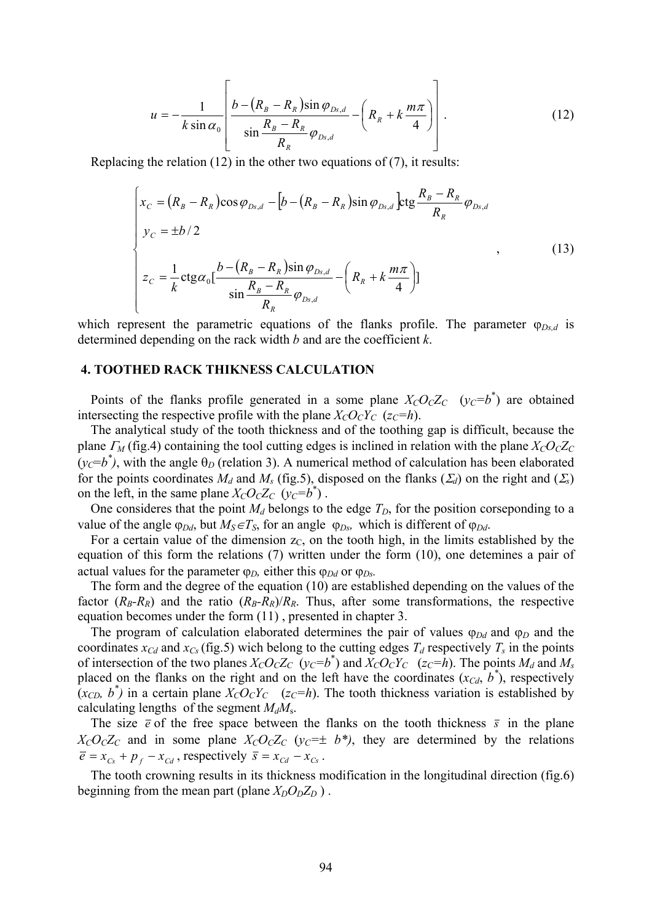$$
u = -\frac{1}{k \sin \alpha_0} \left[ \frac{b - (R_B - R_R) \sin \varphi_{Ds,d}}{\sin \frac{R_B - R_R}{R_R} \varphi_{Ds,d}} - \left( R_R + k \frac{m \pi}{4} \right) \right]. \tag{12}
$$

Replacing the relation (12) in the other two equations of (7), it results:

$$
\begin{cases}\n x_c = (R_B - R_R)\cos\varphi_{Ds,d} - [b - (R_B - R_R)\sin\varphi_{Ds,d}] \text{ctg}\frac{R_B - R_R}{R_R}\varphi_{Ds,d} \\
 y_c = \pm b/2 \\
 z_c = \frac{1}{k}\text{ctg}\alpha_0 \left[\frac{b - (R_B - R_R)\sin\varphi_{Ds,d}}{\sin\frac{R_B - R_R}{R_R}\varphi_{Ds,d}} - \left(R_R + k\frac{m\pi}{4}\right)\right]\n\end{cases}\n\tag{13}
$$

which represent the parametric equations of the flanks profile. The parameter  $\varphi_{Ds,d}$  is determined depending on the rack width *b* and are the coefficient *k*.

#### **4. TOOTHED RACK THIKNESS CALCULATION**

Points of the flanks profile generated in a some plane  $X_C O_C Z_C$  ( $y_C = b^*$ ) are obtained intersecting the respective profile with the plane  $X_C O_C Y_C$  ( $z_C = h$ ).

 The analytical study of the tooth thickness and of the toothing gap is difficult, because the plane  $\Gamma_M$  (fig.4) containing the tool cutting edges is inclined in relation with the plane  $X_C O_C Z_C$  $(y_c=b^*)$ , with the angle  $\theta_D$  (relation 3). A numerical method of calculation has been elaborated for the points coordinates  $M_d$  and  $M_s$  (fig.5), disposed on the flanks ( $\Sigma_d$ ) on the right and ( $\Sigma_s$ ) on the left, in the same plane  $X_C O_C Z_C (y_C = b^*)$ .

One consideres that the point  $M_d$  belongs to the edge  $T_D$ , for the position corseponding to a value of the angle  $\varphi_{Dd}$ , but  $M_S \in T_S$ , for an angle  $\varphi_{Ds}$ , which is different of  $\varphi_{Dd}$ .

For a certain value of the dimension  $z_c$ , on the tooth high, in the limits established by the equation of this form the relations (7) written under the form (10), one detemines a pair of actual values for the parameter  $\varphi_D$ , either this  $\varphi_{Dd}$  or  $\varphi_{Ds}$ .

 The form and the degree of the equation (10) are established depending on the values of the factor  $(R_B-R_R)$  and the ratio  $(R_B-R_R)/R_R$ . Thus, after some transformations, the respective equation becomes under the form (11) , presented in chapter 3.

The program of calculation elaborated determines the pair of values  $\varphi_{Dd}$  and  $\varphi_D$  and the coordinates  $x_{Cd}$  and  $x_{Cs}$  (fig.5) wich belong to the cutting edges  $T_d$  respectively  $T_s$  in the points of intersection of the two planes  $X_C O_C Z_C (y_C = b^*)$  and  $X_C O_C Y_C (z_C = h)$ . The points  $M_d$  and  $M_s$ placed on the flanks on the right and on the left have the coordinates  $(x_{C_d}, b^*)$ , respectively  $(x_{CD}, b^*)$  in a certain plane  $X_C O_C Y_C$  (*z<sub>C</sub>*=*h*). The tooth thickness variation is established by calculating lengths of the segment  $M_dM_s$ .

The size  $\bar{e}$  of the free space between the flanks on the tooth thickness  $\bar{s}$  in the plane  $X_cO_cZ_c$  and in some plane  $X_cO_cZ_c$  ( $y_c=\pm b^*$ ), they are determined by the relations  $\overline{e} = x_{Cs} + p_f - x_{Cd}$ , respectively  $\overline{s} = x_{Cd} - x_{Cs}$ .

 The tooth crowning results in its thickness modification in the longitudinal direction (fig.6) beginning from the mean part (plane  $X_D O_D Z_D$ ).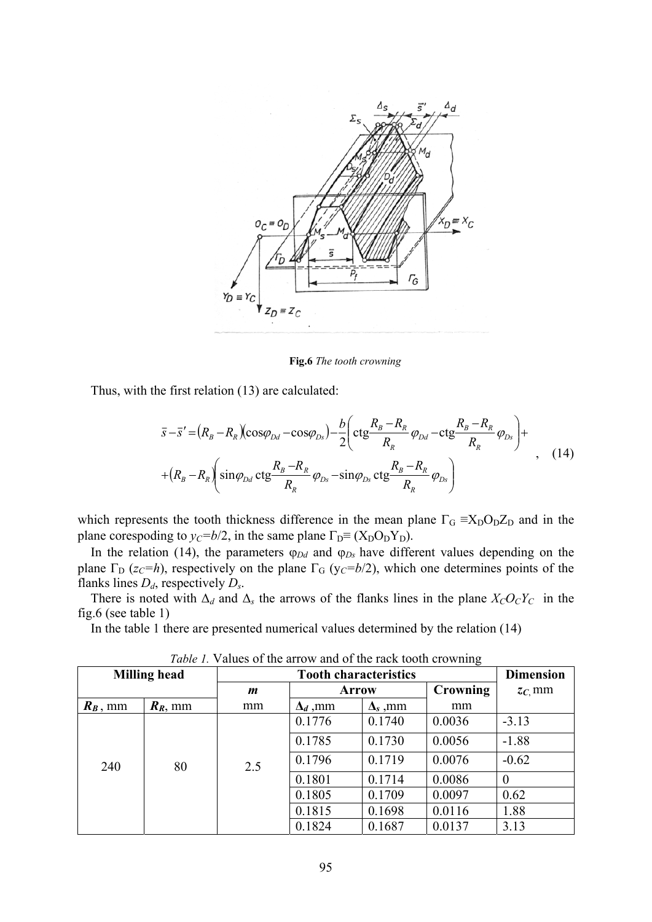

**Fig.6** *The tooth crowning*

Thus, with the first relation (13) are calculated:

$$
\bar{s}-\bar{s}' = (R_B - R_R)(\cos\varphi_{Dd} - \cos\varphi_{Ds}) - \frac{b}{2} \left( \text{ctg}\frac{R_B - R_R}{R_R}\varphi_{Dd} - \text{ctg}\frac{R_B - R_R}{R_R}\varphi_{Ds} \right) +
$$
  
+ 
$$
(R_B - R_R) \left( \sin\varphi_{Dd} \cot\frac{R_B - R_R}{R_R}\varphi_{Ds} - \sin\varphi_{Ds} \cot\frac{R_B - R_R}{R_R}\varphi_{Ds} \right)
$$
 (14)

which represents the tooth thickness difference in the mean plane  $\Gamma_{\rm G} \equiv X_{\rm D} O_{\rm D} Z_{\rm D}$  and in the plane corespoding to  $y_C = b/2$ , in the same plane  $\Gamma_D \equiv (X_D O_D Y_D)$ .

In the relation (14), the parameters  $\varphi_{Dd}$  and  $\varphi_{Ds}$  have different values depending on the plane  $\Gamma_{\text{D}}$  (*z<sub>C</sub>=h*), respectively on the plane  $\Gamma_{\text{G}}$  (*y<sub>C</sub>=b*/2), which one determines points of the flanks lines *Dd*, respectively *Ds*.

There is noted with  $\Delta_d$  and  $\Delta_s$  the arrows of the flanks lines in the plane  $X_C O_C Y_C$  in the fig.6 (see table 1)

In the table 1 there are presented numerical values determined by the relation (14)

| <b>Milling head</b> |            | <b>Tooth characteristics</b> |                 |                 |          | <b>Dimension</b> |
|---------------------|------------|------------------------------|-----------------|-----------------|----------|------------------|
|                     |            | m                            | <b>Arrow</b>    |                 | Crowning | $z_c$ mm         |
| $R_B$ , mm          | $R_R$ , mm | mm                           | $\Delta_d$ , mm | $\Delta_s$ , mm | mm       |                  |
| 240                 | 80         | 2.5                          | 0.1776          | 0.1740          | 0.0036   | $-3.13$          |
|                     |            |                              | 0.1785          | 0.1730          | 0.0056   | $-1.88$          |
|                     |            |                              | 0.1796          | 0.1719          | 0.0076   | $-0.62$          |
|                     |            |                              | 0.1801          | 0.1714          | 0.0086   | $\overline{0}$   |
|                     |            |                              | 0.1805          | 0.1709          | 0.0097   | 0.62             |
|                     |            |                              | 0.1815          | 0.1698          | 0.0116   | 1.88             |
|                     |            |                              | 0.1824          | 0.1687          | 0.0137   | 3.13             |

*Table 1.* Values of the arrow and of the rack tooth crowning